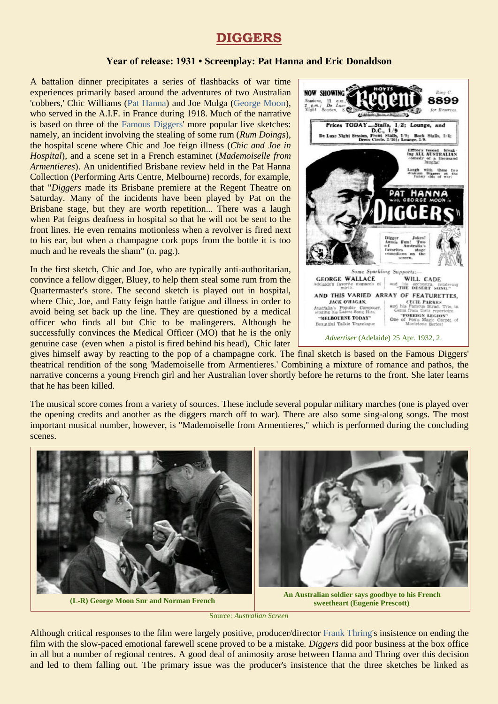# **DIGGERS**

#### **Year of release: 1931 • Screenplay: Pat Hanna and Eric Donaldson**

A battalion dinner precipitates a series of flashbacks of war time experiences primarily based around the adventures of two Australian 'cobbers,' Chic Williams [\(Pat Hanna\)](https://ozvta.com/entrepreneurs-g-l/) and Joe Mulga [\(George Moon\)](https://ozvta.com/practitioners-m/), who served in the A.I.F. in France during 1918. Much of the narrative is based on three of the [Famous Diggers'](https://ozvta.com/troupes-digger-companies/) more popular live sketches: namely, an incident involving the stealing of some rum (*Rum Doings*), the hospital scene where Chic and Joe feign illness (*Chic and Joe in Hospital*), and a scene set in a French estaminet (*Mademoiselle from Armentieres*). An unidentified Brisbane review held in the Pat Hanna Collection (Performing Arts Centre, Melbourne) records, for example, that "*Diggers* made its Brisbane premiere at the Regent Theatre on Saturday. Many of the incidents have been played by Pat on the Brisbane stage, but they are worth repetition... There was a laugh when Pat feigns deafness in hospital so that he will not be sent to the front lines. He even remains motionless when a revolver is fired next to his ear, but when a champagne cork pops from the bottle it is too much and he reveals the sham" (n. pag.).

In the first sketch, Chic and Joe, who are typically anti-authoritarian, convince a fellow digger, Bluey, to help them steal some rum from the Quartermaster's store. The second sketch is played out in hospital, where Chic, Joe, and Fatty feign battle fatigue and illness in order to avoid being set back up the line. They are questioned by a medical officer who finds all but Chic to be malingerers. Although he successfully convinces the Medical Officer (MO) that he is the only genuine case (even when a pistol is fired behind his head), Chic later



gives himself away by reacting to the pop of a champagne cork. The final sketch is based on the Famous Diggers' theatrical rendition of the song 'Mademoiselle from Armentieres.' Combining a mixture of romance and pathos, the narrative concerns a young French girl and her Australian lover shortly before he returns to the front. She later learns that he has been killed.

The musical score comes from a variety of sources. These include several popular military marches (one is played over the opening credits and another as the diggers march off to war). There are also some sing-along songs. The most important musical number, however, is "Mademoiselle from Armentieres," which is performed during the concluding scenes.



Source: *Australian Screen* 

Although critical responses to the film were largely positive, producer/director [Frank Thring's](https://ozvta.com/entrepreneurs-s-z/) insistence on ending the film with the slow-paced emotional farewell scene proved to be a mistake. *Diggers* did poor business at the box office in all but a number of regional centres. A good deal of animosity arose between Hanna and Thring over this decision and led to them falling out. The primary issue was the producer's insistence that the three sketches be linked as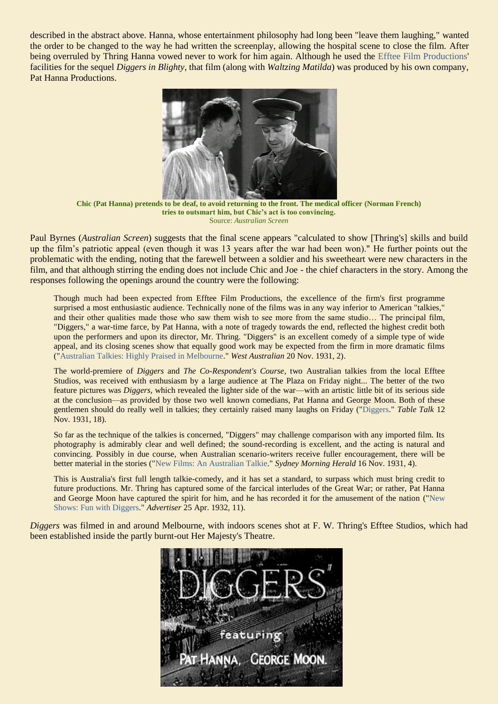described in the abstract above. Hanna, whose entertainment philosophy had long been "leave them laughing," wanted the order to be changed to the way he had written the screenplay, allowing the hospital scene to close the film. After being overruled by Thring Hanna vowed never to work for him again. Although he used the Efftee [Film Productions'](https://ozvta.com/organisations-a-l/) facilities for the sequel *Diggers in Blighty*, that film (along with *Waltzing Matilda*) was produced by his own company, Pat Hanna Productions.



**Chic (Pat Hanna) pretends to be deaf, to avoid returning to the front. The medical officer (Norman French) tries to outsmart him, but Chic's act is too convincing.** Source: *Australian Screen* 

Paul Byrnes (*Australian Screen*) suggests that the final scene appears "calculated to show [Thring's] skills and build up the film's patriotic appeal (even though it was 13 years after the war had been won)." He further points out the problematic with the ending, noting that the farewell between a soldier and his sweetheart were new characters in the film, and that although stirring the ending does not include Chic and Joe - the chief characters in the story. Among the responses following the openings around the country were the following:

Though much had been expected from Efftee Film Productions, the excellence of the firm's first programme surprised a most enthusiastic audience. Technically none of the films was in any way inferior to American "talkies," and their other qualities made those who saw them wish to see more from the same studio… The principal film, "Diggers," a war-time farce, by Pat Hanna, with a note of tragedy towards the end, reflected the highest credit both upon the performers and upon its director, Mr. Thring. "Diggers" is an excellent comedy of a simple type of wide appeal, and its closing scenes show that equally good work may be expected from the firm in more dramatic films (["Australian Talkies: Highly Praised in Melbourne.](https://trove.nla.gov.au/newspaper/article/32396955)" *West Australian* 20 Nov. 1931, 2).

The world-premiere of *Diggers* and *The Co-Respondent's Course*, two Australian talkies from the local Efftee Studios, was received with enthusiasm by a large audience at The Plaza on Friday night... The better of the two feature pictures was *Diggers*, which revealed the lighter side of the war—with an artistic little bit of its serious side at the conclusion—as provided by those two well known comedians, Pat Hanna and George Moon. Both of these gentlemen should do really well in talkies; they certainly raised many laughs on Friday (["Diggers.](https://trove.nla.gov.au/newspaper/page/17647201)" *Table Talk* 12 Nov. 1931, 18).

So far as the technique of the talkies is concerned, "Diggers" may challenge comparison with any imported film. Its photography is admirably clear and well defined; the sound-recording is excellent, and the acting is natural and convincing. Possibly in due course, when Australian scenario-writers receive fuller encouragement, there will be better material in the stories (["New Films: An Australian Talkie.](https://trove.nla.gov.au/newspaper/page/1159593)" *Sydney Morning Herald* 16 Nov. 1931, 4).

This is Australia's first full length talkie-comedy, and it has set a standard, to surpass which must bring credit to future productions. Mr. Thring has captured some of the farcical interludes of the Great War; or rather, Pat Hanna and George Moon have captured the spirit for him, and he has recorded it for the amusement of the nation (["New](https://trove.nla.gov.au/newspaper/page/2884192)  [Shows: Fun with Diggers."](https://trove.nla.gov.au/newspaper/page/2884192) *Advertiser* 25 Apr. 1932, 11).

*Diggers* was filmed in and around Melbourne, with indoors scenes shot at F. W. Thring's Efftee Studios, which had been established inside the partly burnt-out Her Majesty's Theatre.